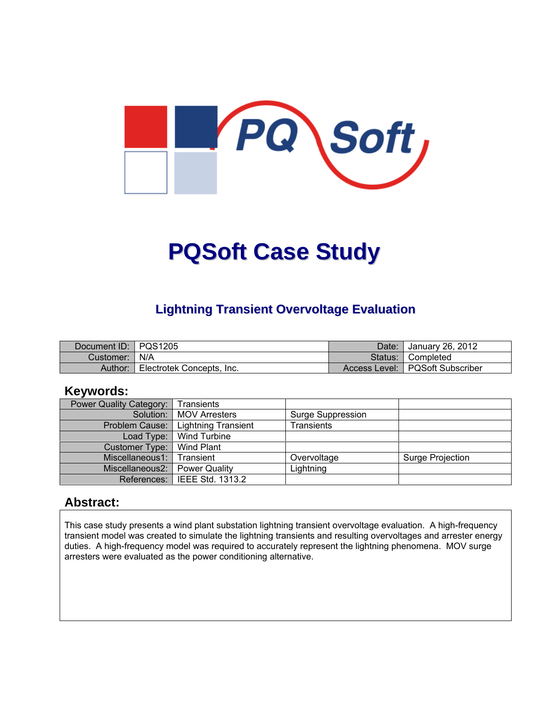

# **PQSoft Case Study**

## **Lightning Transient Overvoltage Evaluation**

| Document ID: PQS1205 |                           | Date:   | January 26, 2012                  |
|----------------------|---------------------------|---------|-----------------------------------|
| Customer: I          | l N/A                     | Status: | ¶ Completed                       |
| Author:              | Electrotek Concepts, Inc. |         | Access Level:   PQSoft Subscriber |

#### **Keywords:**

| <b>Power Quality Category:</b> | Transients                     |                          |                  |
|--------------------------------|--------------------------------|--------------------------|------------------|
|                                | Solution:   MOV Arresters      | <b>Surge Suppression</b> |                  |
| Problem Cause:                 | <b>Lightning Transient</b>     | <b>Transients</b>        |                  |
|                                | Load Type:   Wind Turbine      |                          |                  |
| Customer Type:                 | Wind Plant                     |                          |                  |
| Miscellaneous1:                | Transient                      | Overvoltage              | Surge Projection |
| Miscellaneous2:                | Power Quality                  | Lightning                |                  |
|                                | References:   IEEE Std. 1313.2 |                          |                  |

#### **Abstract:**

This case study presents a wind plant substation lightning transient overvoltage evaluation. A high-frequency transient model was created to simulate the lightning transients and resulting overvoltages and arrester energy duties. A high-frequency model was required to accurately represent the lightning phenomena. MOV surge arresters were evaluated as the power conditioning alternative.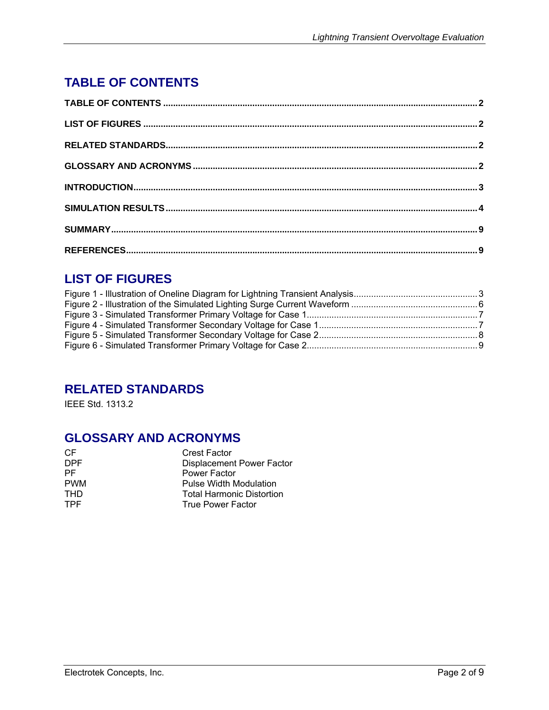# **TABLE OF CONTENTS**

# **LIST OF FIGURES**

## **RELATED STANDARDS**

IEEE Std. 1313.2

## **GLOSSARY AND ACRONYMS**

| CF         | <b>Crest Factor</b>              |
|------------|----------------------------------|
| <b>DPF</b> | Displacement Power Factor        |
| <b>PF</b>  | Power Factor                     |
| <b>PWM</b> | <b>Pulse Width Modulation</b>    |
| <b>THD</b> | <b>Total Harmonic Distortion</b> |
| <b>TPF</b> | <b>True Power Factor</b>         |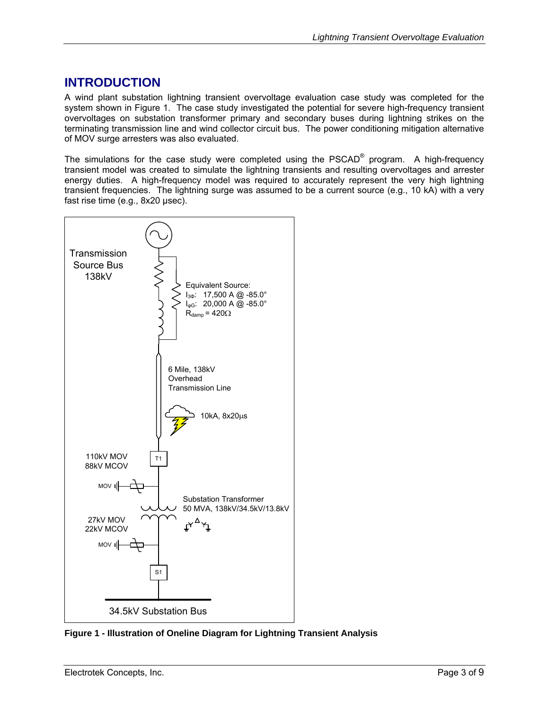### **INTRODUCTION**

A wind plant substation lightning transient overvoltage evaluation case study was completed for the system shown in Figure 1. The case study investigated the potential for severe high-frequency transient overvoltages on substation transformer primary and secondary buses during lightning strikes on the terminating transmission line and wind collector circuit bus. The power conditioning mitigation alternative of MOV surge arresters was also evaluated.

The simulations for the case study were completed using the PSCAD<sup>®</sup> program. A high-frequency transient model was created to simulate the lightning transients and resulting overvoltages and arrester energy duties. A high-frequency model was required to accurately represent the very high lightning transient frequencies. The lightning surge was assumed to be a current source (e.g., 10 kA) with a very fast rise time (e.g., 8x20 µsec).



**Figure 1 - Illustration of Oneline Diagram for Lightning Transient Analysis**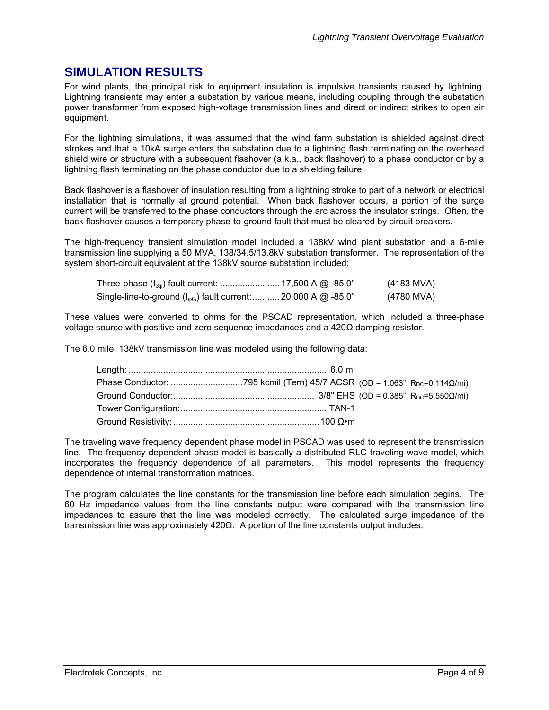#### **SIMULATION RESULTS**

For wind plants, the principal risk to equipment insulation is impulsive transients caused by lightning. Lightning transients may enter a substation by various means, including coupling through the substation power transformer from exposed high-voltage transmission lines and direct or indirect strikes to open air equipment.

For the lightning simulations, it was assumed that the wind farm substation is shielded against direct strokes and that a 10kA surge enters the substation due to a lightning flash terminating on the overhead shield wire or structure with a subsequent flashover (a.k.a., back flashover) to a phase conductor or by a lightning flash terminating on the phase conductor due to a shielding failure.

Back flashover is a flashover of insulation resulting from a lightning stroke to part of a network or electrical installation that is normally at ground potential. When back flashover occurs, a portion of the surge current will be transferred to the phase conductors through the arc across the insulator strings. Often, the back flashover causes a temporary phase-to-ground fault that must be cleared by circuit breakers.

The high-frequency transient simulation model included a 138kV wind plant substation and a 6-mile transmission line supplying a 50 MVA, 138/34.5/13.8kV substation transformer. The representation of the system short-circuit equivalent at the 138kV source substation included:

| Three-phase (I <sub>30</sub> ) fault current:  17,500 A @ -85.0°           | (4183 MVA) |
|----------------------------------------------------------------------------|------------|
| Single-line-to-ground (I <sub>oG</sub> ) fault current:  20,000 A @ -85.0° | (4780 MVA) |

These values were converted to ohms for the PSCAD representation, which included a three-phase voltage source with positive and zero sequence impedances and a 420Ω damping resistor.

The 6.0 mile, 138kV transmission line was modeled using the following data:

The traveling wave frequency dependent phase model in PSCAD was used to represent the transmission line. The frequency dependent phase model is basically a distributed RLC traveling wave model, which incorporates the frequency dependence of all parameters. This model represents the frequency dependence of internal transformation matrices.

The program calculates the line constants for the transmission line before each simulation begins. The 60 Hz impedance values from the line constants output were compared with the transmission line impedances to assure that the line was modeled correctly. The calculated surge impedance of the transmission line was approximately 420Ω. A portion of the line constants output includes: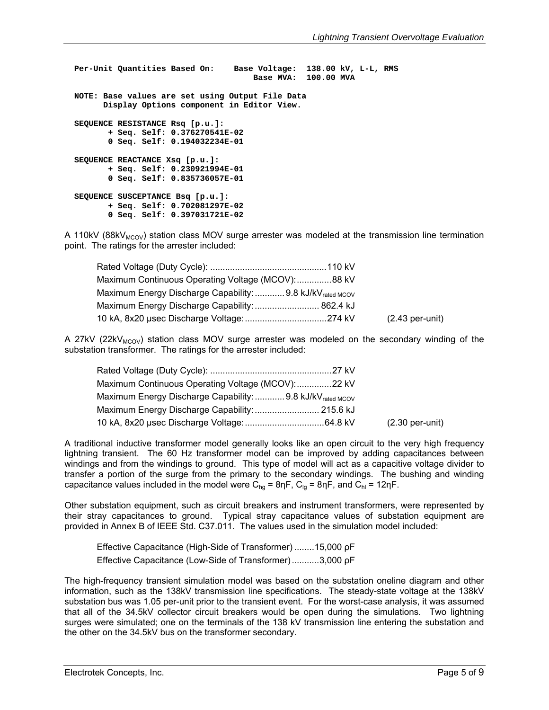**Per-Unit Quantities Based On: Base Voltage: 138.00 kV, L-L, RMS Base MVA: 100.00 MVA NOTE: Base values are set using Output File Data Display Options component in Editor View. SEQUENCE RESISTANCE Rsq [p.u.]: + Seq. Self: 0.376270541E-02 0 Seq. Self: 0.194032234E-01 SEQUENCE REACTANCE Xsq [p.u.]: + Seq. Self: 0.230921994E-01 0 Seq. Self: 0.835736057E-01 SEQUENCE SUSCEPTANCE Bsq [p.u.]: + Seq. Self: 0.702081297E-02 0 Seq. Self: 0.397031721E-02** 

A 110kV (88kV<sub>MCOV</sub>) station class MOV surge arrester was modeled at the transmission line termination point. The ratings for the arrester included:

| Maximum Continuous Operating Voltage (MCOV):88 kV                     |                   |
|-----------------------------------------------------------------------|-------------------|
| Maximum Energy Discharge Capability:  9.8 kJ/kV <sub>rated MCOV</sub> |                   |
| Maximum Energy Discharge Capability:  862.4 kJ                        |                   |
|                                                                       | $(2.43$ per-unit) |

A 27kV (22kV<sub>MCOV</sub>) station class MOV surge arrester was modeled on the secondary winding of the substation transformer. The ratings for the arrester included:

| Maximum Continuous Operating Voltage (MCOV): 22 kV                    |                           |
|-----------------------------------------------------------------------|---------------------------|
| Maximum Energy Discharge Capability:  9.8 kJ/kV <sub>rated MCOV</sub> |                           |
| Maximum Energy Discharge Capability:  215.6 kJ                        |                           |
|                                                                       | $(2.30 \text{ per-unit})$ |

A traditional inductive transformer model generally looks like an open circuit to the very high frequency lightning transient. The 60 Hz transformer model can be improved by adding capacitances between windings and from the windings to ground. This type of model will act as a capacitive voltage divider to transfer a portion of the surge from the primary to the secondary windings. The bushing and winding capacitance values included in the model were  $C_{ha}$  = 8ηF,  $C_{la}$  = 8ηF, and  $C_{hl}$  = 12ηF.

Other substation equipment, such as circuit breakers and instrument transformers, were represented by their stray capacitances to ground. Typical stray capacitance values of substation equipment are provided in Annex B of IEEE Std. C37.011. The values used in the simulation model included:

|  |  | Effective Capacitance (High-Side of Transformer) 15,000 pF |  |
|--|--|------------------------------------------------------------|--|
|  |  | Effective Capacitance (Low-Side of Transformer)3,000 pF    |  |

The high-frequency transient simulation model was based on the substation oneline diagram and other information, such as the 138kV transmission line specifications. The steady-state voltage at the 138kV substation bus was 1.05 per-unit prior to the transient event. For the worst-case analysis, it was assumed that all of the 34.5kV collector circuit breakers would be open during the simulations. Two lightning surges were simulated; one on the terminals of the 138 kV transmission line entering the substation and the other on the 34.5kV bus on the transformer secondary.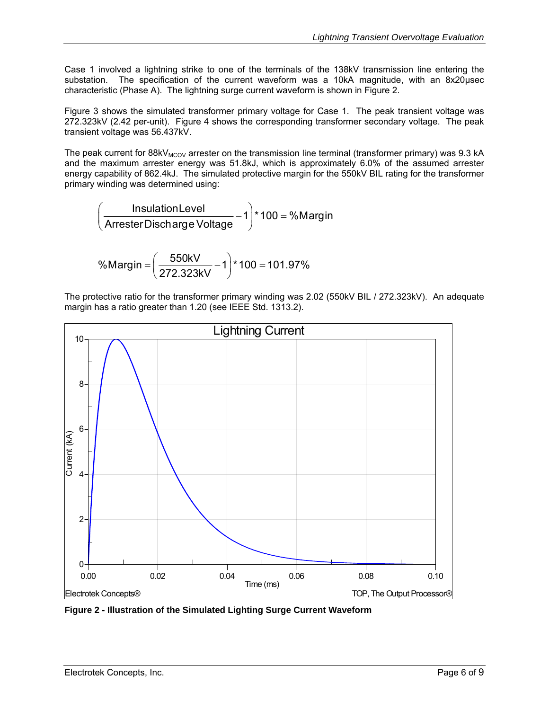Case 1 involved a lightning strike to one of the terminals of the 138kV transmission line entering the substation. The specification of the current waveform was a 10kA magnitude, with an 8x20usec characteristic (Phase A). The lightning surge current waveform is shown in Figure 2.

Figure 3 shows the simulated transformer primary voltage for Case 1. The peak transient voltage was 272.323kV (2.42 per-unit). Figure 4 shows the corresponding transformer secondary voltage. The peak transient voltage was 56.437kV.

The peak current for 88kV<sub>MCOV</sub> arrester on the transmission line terminal (transformer primary) was 9.3 kA and the maximum arrester energy was 51.8kJ, which is approximately 6.0% of the assumed arrester energy capability of 862.4kJ. The simulated protective margin for the 550kV BIL rating for the transformer primary winding was determined using:

$$
\left(\frac{\text{InsulationLevel}}{\text{Arrester Discharge Voltage}} - 1\right) \times 100 = %\text{Margin}
$$

$$
\text{\%Margin} = \left(\frac{550kV}{272.323kV} - 1\right) \times 100 = 101.97\%
$$

The protective ratio for the transformer primary winding was 2.02 (550kV BIL / 272.323kV). An adequate margin has a ratio greater than 1.20 (see IEEE Std. 1313.2).



**Figure 2 - Illustration of the Simulated Lighting Surge Current Waveform**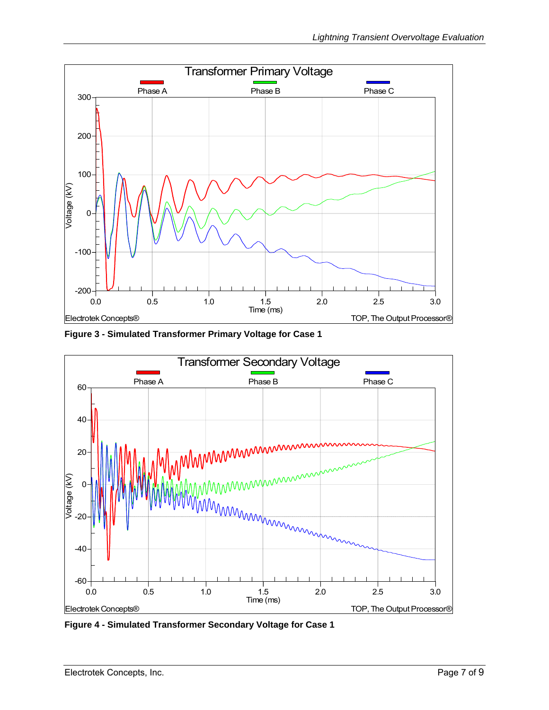

**Figure 3 - Simulated Transformer Primary Voltage for Case 1** 



**Figure 4 - Simulated Transformer Secondary Voltage for Case 1**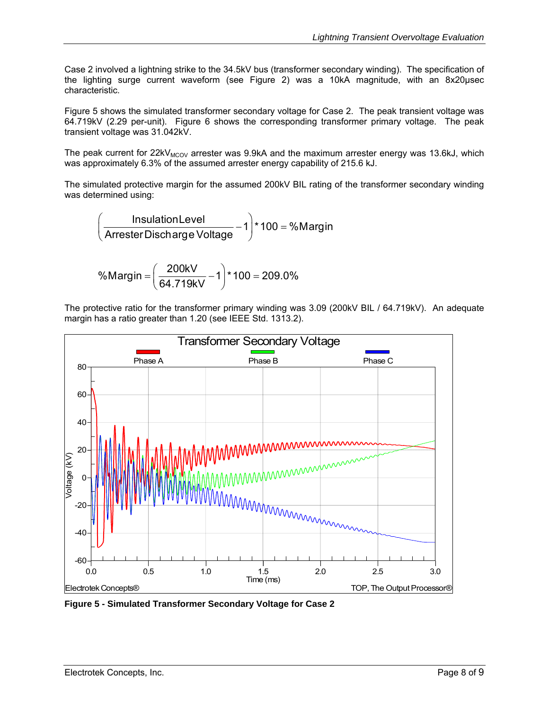Case 2 involved a lightning strike to the 34.5kV bus (transformer secondary winding). The specification of the lighting surge current waveform (see Figure 2) was a 10kA magnitude, with an 8x20μsec characteristic.

Figure 5 shows the simulated transformer secondary voltage for Case 2. The peak transient voltage was 64.719kV (2.29 per-unit). Figure 6 shows the corresponding transformer primary voltage. The peak transient voltage was 31.042kV.

The peak current for  $22kV_{MCOV}$  arrester was 9.9kA and the maximum arrester energy was 13.6kJ, which was approximately 6.3% of the assumed arrester energy capability of 215.6 kJ.

The simulated protective margin for the assumed 200kV BIL rating of the transformer secondary winding was determined using:

$$
\left(\frac{\text{InsulationLevel}}{\text{Arrester Discharge Voltage}} - 1\right) \star 100 = %\text{Margin}
$$

$$
\text{\%Margin} = \left(\frac{200kV}{64.719kV} - 1\right) \times 100 = 209.0\%
$$

The protective ratio for the transformer primary winding was 3.09 (200kV BIL / 64.719kV). An adequate margin has a ratio greater than 1.20 (see IEEE Std. 1313.2).



**Figure 5 - Simulated Transformer Secondary Voltage for Case 2**